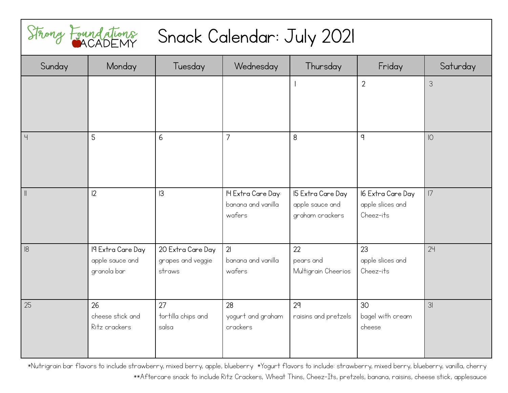

## Snack Calendar: July 2021

|                | Strong Foundations             | Snack Calendar: July 2021   |                                          |                                      |                                       |          |
|----------------|--------------------------------|-----------------------------|------------------------------------------|--------------------------------------|---------------------------------------|----------|
| Sunday         | Monday                         | Tuesday                     | Wednesday                                | Thursday                             | Friday                                | Saturday |
|                |                                |                             |                                          |                                      | $\overline{2}$                        | 3        |
|                |                                |                             |                                          |                                      |                                       |          |
|                |                                |                             |                                          |                                      |                                       |          |
| $\overline{4}$ | 5                              | 6                           | 7                                        | 8                                    | $\mathsf{q}$                          | O        |
|                |                                |                             |                                          |                                      |                                       |          |
|                |                                |                             |                                          |                                      |                                       |          |
|                |                                |                             |                                          |                                      |                                       |          |
| $\parallel$    | 2                              | 3                           | IH Extra Care Day:<br>banana and vanilla | 15 Extra Care Day<br>apple sauce and | 16 Extra Care Day<br>apple slices and | 7        |
|                |                                |                             | wafers                                   | graham crackers                      | Cheez-its                             |          |
|                |                                |                             |                                          |                                      |                                       |          |
| 8              | 19 Extra Care Day              | 20 Extra Care Day           | 21                                       | 22                                   | 23                                    | 24       |
|                | apple sauce and<br>granola bar | grapes and veggie<br>straws | banana and vanilla<br>wafers             | pears and                            | apple slices and<br>Cheez-its         |          |
|                |                                |                             |                                          | Multigrain Cheerios                  |                                       |          |
| 25             | 26                             | 27                          | 28                                       | 2 <sup>q</sup>                       | 30                                    | 3I       |
|                | cheese stick and               | tortilla chips and          | yogurt and graham                        | raisins and pretzels                 | bagel with cream                      |          |
|                | Ritz crackers                  | salsa                       | crackers                                 |                                      | cheese                                |          |
|                |                                |                             |                                          |                                      |                                       |          |
|                |                                |                             |                                          |                                      |                                       |          |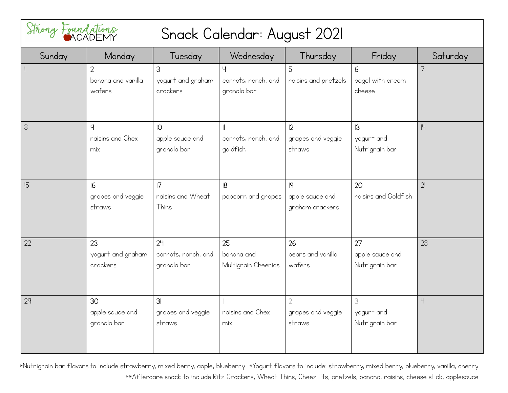| Strong Foundations       |                                                |                                               | Snack Calendar: August 2021                    |                                         |                                         |                |
|--------------------------|------------------------------------------------|-----------------------------------------------|------------------------------------------------|-----------------------------------------|-----------------------------------------|----------------|
| Sunday                   | Monday                                         | Tuesday                                       | Wednesday                                      | Thursday                                | Friday                                  | Saturday       |
| $\overline{\phantom{a}}$ | $\overline{2}$<br>banana and vanilla<br>wafers | 3<br>yogurt and graham<br>crackers            | Ч<br>carrots, ranch, and<br>granola bar        | 5<br>raisins and pretzels               | 6<br>bagel with cream<br>cheese         | $\overline{7}$ |
| 8                        | q<br>raisins and Chex<br>mix                   | IO<br>apple sauce and<br>granola bar          | $\mathbf l$<br>carrots, ranch, and<br>goldfish | 12<br>grapes and veggie<br>straws       | 3<br>yogurt and<br>Nutrigrain bar       | 4              |
| 15                       | 16<br>grapes and veggie<br>straws              | 7<br>raisins and Wheat<br>Thins               | 8<br>popcorn and grapes                        | 9<br>apple sauce and<br>graham crackers | 20<br>raisins and Goldfish              | 21             |
| 22                       | 23<br>yogurt and graham<br>crackers            | 24<br>carrots, ranch, and<br>granola bar      | 25<br>banana and<br>Multigrain Cheerios        | 26<br>pears and vanilla<br>wafers       | 27<br>apple sauce and<br>Nutrigrain bar | 28             |
| 29                       | 30<br>apple sauce and<br>granola bar           | 3 <sub>l</sub><br>grapes and veggie<br>straws | raisins and Chex<br>mix                        | 2<br>grapes and veggie<br>straws        | 3<br>yogurt and<br>Nutrigrain bar       | Ч              |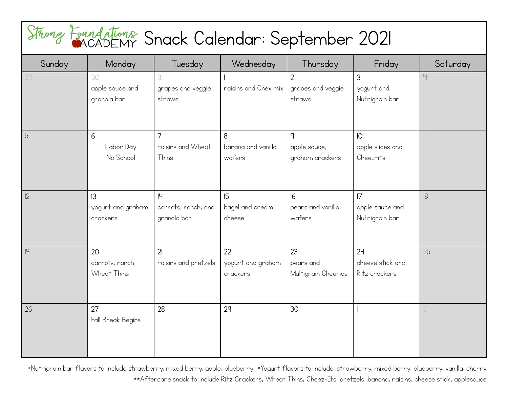| Sunday | Monday                               | Tuesday                                       | Wednesday                           | Thursday                                        | Friday                                          | Saturday             |
|--------|--------------------------------------|-----------------------------------------------|-------------------------------------|-------------------------------------------------|-------------------------------------------------|----------------------|
|        | 30<br>apple sauce and<br>granola bar | 3 <sup>l</sup><br>grapes and veggie<br>straws | raisins and Chex mix                | $\overline{2}$<br>grapes and veggie<br>straws   | 3<br>yogurt and<br>Nutrigrain bar               | $\mathord{\text{H}}$ |
|        | 6<br>Labor Day<br>No School          | $\overline{7}$<br>raisins and Wheat<br>Thins  | 8<br>banana and vanilla<br>wafers   | $\mathsf{q}$<br>apple sauce,<br>graham crackers | $\overline{O}$<br>apple slices and<br>Cheez-its | $\parallel$          |
| 2      | 3<br>yogurt and graham<br>crackers   | 4<br>carrots, ranch, and<br>granola bar       | 15<br>bagel and cream<br>cheese     | 6<br>pears and vanilla<br>wafers                | 7<br>apple sauce and<br>Nutrigrain bar          | 8                    |
|        | 20<br>carrots, ranch,<br>Wheat Thins | 21<br>raisins and pretzels                    | 22<br>yogurt and graham<br>crackers | 23<br>pears and<br>Multigrain Cheerios          | 24<br>cheese stick and<br>Ritz crackers         | 25                   |
| 26     | 27<br>Fall Break Begins              | 28                                            | 29                                  | 30                                              |                                                 |                      |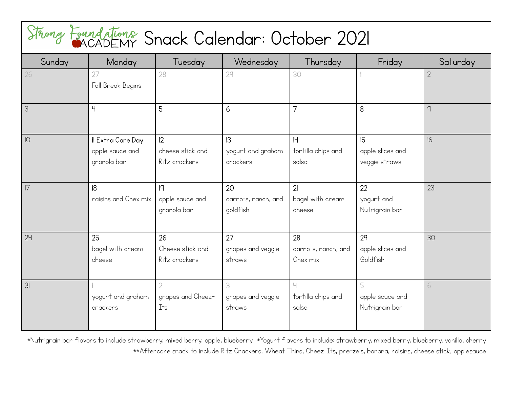## Snack Calendar: October 2021

|             | Strong Foundations Snack Calendar: October 2021     |                                              |                                       |                                              |                                         |                |
|-------------|-----------------------------------------------------|----------------------------------------------|---------------------------------------|----------------------------------------------|-----------------------------------------|----------------|
| Sunday      | Monday                                              | Tuesday                                      | Wednesday                             | Thursday                                     | Friday                                  | Saturday       |
| 26          | 27<br>Fall Break Begins                             | 28                                           | 29                                    | 30                                           |                                         | $\overline{2}$ |
| 3           | Ч                                                   | 5                                            | 6                                     | $\overline{7}$                               | 8                                       | 9              |
| $ 0\rangle$ | Il Extra Care Day<br>apple sauce and<br>granola bar | 12<br>cheese stick and<br>Ritz crackers      | 3 <br>yogurt and graham<br>crackers   | H <br>tortilla chips and<br>salsa            | 15<br>apple slices and<br>veggie straws | 16             |
| 7           | 8 <br>raisins and Chex mix                          | 9<br>apple sauce and<br>granola bar          | 20<br>carrots, ranch, and<br>goldfish | $\overline{2}$<br>bagel with cream<br>cheese | 22<br>yogurt and<br>Nutrigrain bar      | 23             |
| 24          | 25<br>bagel with cream<br>cheese                    | 26<br>Cheese stick and<br>Ritz crackers      | 27<br>grapes and veggie<br>straws     | 28<br>carrots, ranch, and<br>Chex mix        | 29<br>apple slices and<br>Goldfish      | 30             |
| 31          | yogurt and graham<br>crackers                       | $\overline{2}$<br>grapes and Cheez-<br>It is | 3<br>grapes and veggie<br>straws      | Ч<br>tortilla chips and<br>salsa             | 5<br>apple sauce and<br>Nutrigrain bar  | 6              |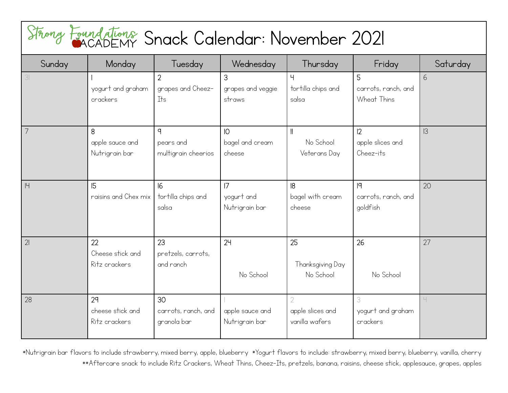| Sunday | Monday                                  | Tuesday                                          | Wednesday                          | Thursday                                    | Friday                                  | Saturday |
|--------|-----------------------------------------|--------------------------------------------------|------------------------------------|---------------------------------------------|-----------------------------------------|----------|
| 31     | yogurt and graham<br>crackers           | $\overline{2}$<br>grapes and Cheez-<br>Its       | 3<br>grapes and veggie<br>straws   | $\mathbf{q}$<br>tortilla chips and<br>salsa | 5<br>carrots, ranch, and<br>Wheat Thins | 6        |
| 7      | 8<br>apple sauce and<br>Nutrigrain bar  | $\mathsf{q}$<br>pears and<br>multigrain cheerios | IO<br>bagel and cream<br>cheese    | No School<br>Veterans Day                   | 2 <br>apple slices and<br>Cheez-its     | 3        |
| 4      | 15<br>raisins and Chex mix              | 6 <br>tortilla chips and<br>salsa                | 7 <br>yogurt and<br>Nutrigrain bar | 8 <br>bagel with cream<br>cheese            | 19<br>carrots, ranch, and<br>goldfish   | 20       |
| 21     | 22<br>Cheese stick and<br>Ritz crackers | 23<br>pretzels, carrots,<br>and ranch            | 24<br>No School                    | 25<br>Thanksgiving Day<br>No School         | 26<br>No School                         | 27       |
| 28     | 29<br>cheese stick and<br>Ritz crackers | 30<br>carrots, ranch, and<br>granola bar         | apple sauce and<br>Nutrigrain bar  | apple slices and<br>vanilla wafers          | 3<br>yogurt and graham<br>crackers      |          |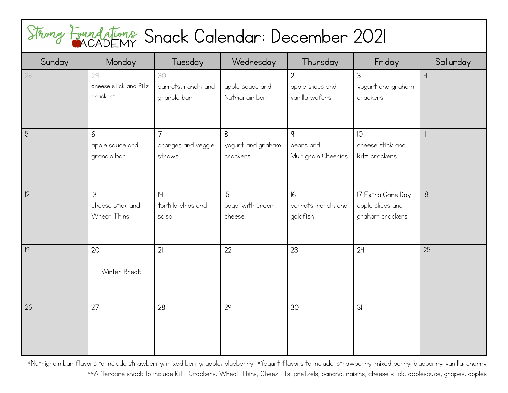| Sunday | Monday                                           | <b>Tuesday</b>                                 | Wednesday                          | Thursday                                             | Friday                                                   | Saturday       |
|--------|--------------------------------------------------|------------------------------------------------|------------------------------------|------------------------------------------------------|----------------------------------------------------------|----------------|
| 28     | 29<br>cheese stick and Ritz<br>crackers          | 30<br>carrots, ranch, and<br>granola bar       | apple sauce and<br>Nutrigrain bar  | $\overline{2}$<br>apple slices and<br>vanilla wafers | 3<br>yogurt and graham<br>crackers                       | $\overline{4}$ |
| 5      | 6<br>apple sauce and<br>granola bar              | $\overline{7}$<br>oranges and veggie<br>straws | 8<br>yogurt and graham<br>crackers | q<br>pears and<br>Multigrain Cheerios                | IO<br>cheese stick and<br>Ritz crackers                  |                |
| 12     | $\mathsf{I}3$<br>cheese stick and<br>Wheat Thins | H <br>tortilla chips and<br>salsa              | 5<br>bagel with cream<br>cheese    | 6<br>carrots, ranch, and<br>goldfish                 | 17 Extra Care Day<br>apple slices and<br>graham crackers | 18             |
| 9      | 20<br>Winter Break                               | 21                                             | 22                                 | 23                                                   | 24                                                       | 25             |
| 26     | 27                                               | 28                                             | 29                                 | 30                                                   | 3 <sub>l</sub>                                           |                |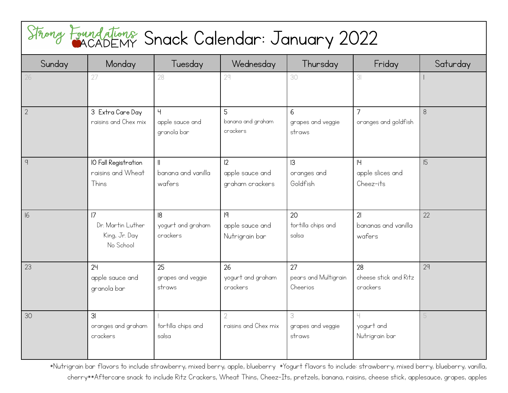| Sunday         | Monday                                                            | Tuesday                                          | Wednesday                                | Thursday                               | Friday                                  | Saturday |
|----------------|-------------------------------------------------------------------|--------------------------------------------------|------------------------------------------|----------------------------------------|-----------------------------------------|----------|
| 26             | 27                                                                | 28                                               | 29                                       | 30                                     | 3 <sup>1</sup>                          |          |
| $\overline{2}$ | 3 Extra Care Day<br>raisins and Chex mix                          | $\overline{4}$<br>apple sauce and<br>granola bar | 5<br>banana and graham<br>crackers       | 6<br>grapes and veggie<br>straws       | $\overline{7}$<br>oranges and goldfish  | $8\,$    |
| $\overline{q}$ | IO Fall Registration<br>raisins and Wheat<br>Thins                | banana and vanilla<br>wafers                     | 12<br>apple sauce and<br>graham crackers | 3 <br>oranges and<br>Goldfish          | 4<br>apple slices and<br>Cheez-its      | 15       |
| 16             | $\overline{7}$<br>Dr. Martin Luther<br>King, Jr. Day<br>No School | 8 <br>yogurt and graham<br>crackers              | q <br>apple sauce and<br>Nutrigrain bar  | 20<br>tortilla chips and<br>salsa      | 21<br>bananas and vanilla<br>wafers     | 22       |
| 23             | 24<br>apple sauce and<br>granola bar                              | 25<br>grapes and veggie<br>straws                | 26<br>yogurt and graham<br>crackers      | 27<br>pears and Multigrain<br>Cheerios | 28<br>cheese stick and Ritz<br>crackers | 29       |
| 30             | 3 <sub>l</sub><br>oranges and graham<br>crackers                  | tortilla chips and<br>salsa                      | $\overline{2}$<br>raisins and Chex mix   | 3<br>grapes and veggie<br>straws       | Ч<br>yogurt and<br>Nutrigrain bar       |          |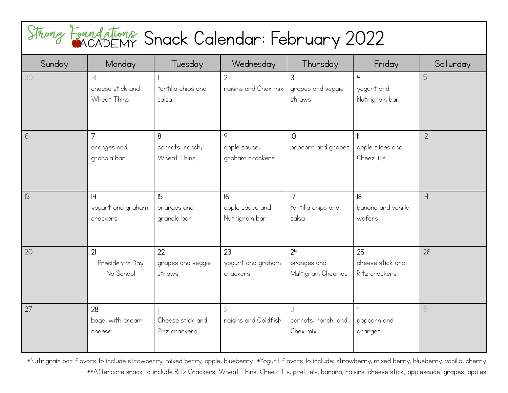| Sunday | Monday                                         | Tuesday                             | Wednesday                                       | Thursday                                 | Friday                                       | Saturday |
|--------|------------------------------------------------|-------------------------------------|-------------------------------------------------|------------------------------------------|----------------------------------------------|----------|
| 30     | 3 <br>cheese stick and<br>Wheat Thins          | tortilla chips and<br>salsa         | $\overline{2}$<br>raisins and Chex mix          | 3<br>grapes and veggie<br>straws         | Ч<br>yogurt and<br>Nutrigrain bar            | 5        |
| 6      | $\overline{7}$<br>oranges and<br>granola bar   | 8<br>carrots, ranch,<br>Wheat Thins | $\mathsf{q}$<br>apple sauce,<br>graham crackers | IO<br>popcorn and grapes                 | $\parallel$<br>apple slices and<br>Cheez-its | 12       |
| 3      | 4<br>yogurt and graham<br>crackers             | 15<br>oranges and<br>granola bar    | 6<br>apple sauce and<br>Nutrigrain bar          | 7<br>tortilla chips and<br>salsa         | 8<br>banana and vanilla<br>wafers            | q        |
| 20     | 2 <sub>l</sub><br>President's Day<br>No School | 22<br>grapes and veggie<br>straws   | 23<br>yogurt and graham<br>crackers             | 24<br>oranges and<br>Multigrain Cheerios | 25<br>cheese stick and<br>Ritz crackers      | 26       |
| 27     | 28<br>bagel with cream<br>cheese               | Cheese stick and<br>Ritz crackers   | 2<br>raisins and Goldfish                       | 3<br>carrots, ranch, and<br>Chex mix     | Ч<br>popcorn and<br>oranges                  |          |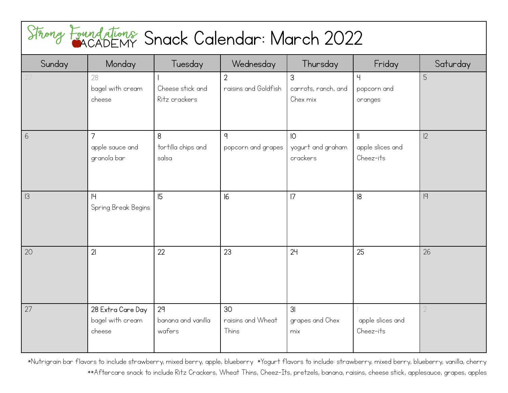| Sunday | Monday                                          | Tuesday                                        | Wednesday                              | Thursday                                         | Friday                                       | Saturday |
|--------|-------------------------------------------------|------------------------------------------------|----------------------------------------|--------------------------------------------------|----------------------------------------------|----------|
|        | 28<br>bagel with cream<br>cheese                | Cheese stick and<br>Ritz crackers              | $\overline{2}$<br>raisins and Goldfish | 3<br>carrots, ranch, and<br>Chex mix             | 4<br>popcorn and<br>oranges                  | 5        |
| 6      | 7<br>apple sauce and<br>granola bar             | 8<br>tortilla chips and<br>salsa               | $\mathsf{q}$<br>popcorn and grapes     | $\overline{10}$<br>yogurt and graham<br>crackers | $\parallel$<br>apple slices and<br>Cheez-its | 12       |
| 3      | H <br>Spring Break Begins                       | 15                                             | 6                                      | 7                                                | 8                                            | 9        |
| 20     | 2 <sub>l</sub>                                  | 22                                             | 23                                     | 24                                               | 25                                           | 26       |
| 27     | 28 Extra Care Day<br>bagel with cream<br>cheese | 2 <sup>q</sup><br>banana and vanilla<br>wafers | 30<br>raisins and Wheat<br>Thins       | 3 <sub>l</sub><br>grapes and Chex<br>mix         | apple slices and<br>Cheez-its                |          |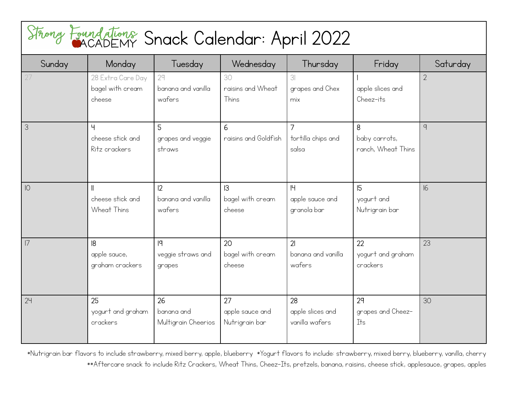## Snack Calendar: April 2022

| Sunday        | Monday                                          | Tuesday                                 | Wednesday                               | Thursday                                      | Friday                                   | Saturday       |
|---------------|-------------------------------------------------|-----------------------------------------|-----------------------------------------|-----------------------------------------------|------------------------------------------|----------------|
| 27            | 28 Extra Care Day<br>bagel with cream<br>cheese | 29<br>banana and vanilla<br>wafers      | 30<br>raisins and Wheat<br>Thins        | 3 <sup>l</sup><br>grapes and Chex<br>mix      | apple slices and<br>Cheez-its            | $\overline{2}$ |
| $\mathcal{S}$ | Ч<br>cheese stick and<br>Ritz crackers          | 5<br>grapes and veggie<br>straws        | 6<br>raisins and Goldfish               | $\overline{7}$<br>tortilla chips and<br>salsa | 8<br>baby carrots,<br>ranch, Wheat Thins | $\mathsf{q}$   |
| $ 0\rangle$   | cheese stick and<br>Wheat Thins                 | 2 <br>banana and vanilla<br>wafers      | 3<br>bagel with cream<br>cheese         | 4<br>apple sauce and<br>granola bar           | 5<br>yogurt and<br>Nutrigrain bar        | 16             |
| 7             | 8<br>apple sauce,<br>graham crackers            | q <br>veggie straws and<br>grapes       | 20<br>bagel with cream<br>cheese        | 21<br>banana and vanilla<br>wafers            | 22<br>yogurt and graham<br>crackers      | 23             |
| 24            | 25<br>yogurt and graham<br>crackers             | 26<br>banana and<br>Multigrain Cheerios | 27<br>apple sauce and<br>Nutrigrain bar | 28<br>apple slices and<br>vanilla wafers      | 29<br>grapes and Cheez-<br>Its           | 30             |